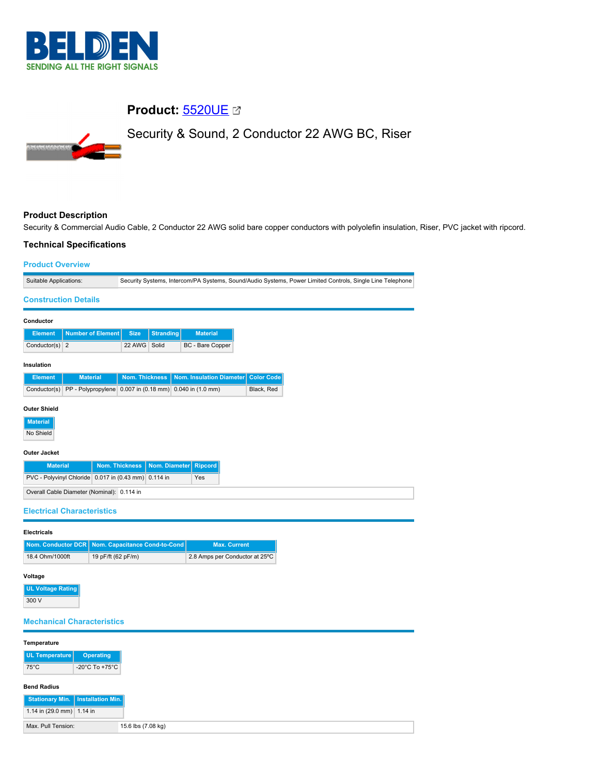

# **Product:** [5520UE](https://catalog.belden.com/index.cfm?event=pd&p=PF_5520UE&tab=downloads)

Security & Sound, 2 Conductor 22 AWG BC, Riser

## **Product Description**

Security & Commercial Audio Cable, 2 Conductor 22 AWG solid bare copper conductors with polyolefin insulation, Riser, PVC jacket with ripcord.

## **Technical Specifications**

| <b>Product Overview</b>                                              |                          |                |                                                                                                           |                  |  |                                 |                     |                   |  |  |  |  |
|----------------------------------------------------------------------|--------------------------|----------------|-----------------------------------------------------------------------------------------------------------|------------------|--|---------------------------------|---------------------|-------------------|--|--|--|--|
| Suitable Applications:                                               |                          |                | Security Systems, Intercom/PA Systems, Sound/Audio Systems, Power Limited Controls, Single Line Telephone |                  |  |                                 |                     |                   |  |  |  |  |
| <b>Construction Details</b>                                          |                          |                |                                                                                                           |                  |  |                                 |                     |                   |  |  |  |  |
| Conductor                                                            |                          |                |                                                                                                           |                  |  |                                 |                     |                   |  |  |  |  |
| <b>Element</b>                                                       | <b>Number of Element</b> |                | <b>Size</b>                                                                                               | <b>Stranding</b> |  | <b>Material</b>                 |                     |                   |  |  |  |  |
| Conductor(s) $2$                                                     |                          |                | 22 AWG                                                                                                    | Solid            |  | <b>BC</b> - Bare Copper         |                     |                   |  |  |  |  |
| Insulation                                                           |                          |                |                                                                                                           |                  |  |                                 |                     |                   |  |  |  |  |
| <b>Element</b>                                                       | <b>Material</b>          |                | <b>Nom. Thickness</b>                                                                                     |                  |  | <b>Nom. Insulation Diameter</b> |                     | <b>Color Code</b> |  |  |  |  |
| Conductor(s) PP - Polypropylene 0.007 in (0.18 mm) 0.040 in (1.0 mm) |                          |                |                                                                                                           |                  |  |                                 |                     | Black, Red        |  |  |  |  |
| <b>Outer Shield</b>                                                  |                          |                |                                                                                                           |                  |  |                                 |                     |                   |  |  |  |  |
| <b>Material</b>                                                      |                          |                |                                                                                                           |                  |  |                                 |                     |                   |  |  |  |  |
| No Shield                                                            |                          |                |                                                                                                           |                  |  |                                 |                     |                   |  |  |  |  |
| Outer Jacket                                                         |                          |                |                                                                                                           |                  |  |                                 |                     |                   |  |  |  |  |
| <b>Material</b>                                                      |                          |                | <b>Nom. Thickness</b><br>Nom. Diameter                                                                    |                  |  | <b>Ripcord</b>                  |                     |                   |  |  |  |  |
| PVC - Polyvinyl Chloride 0.017 in (0.43 mm)                          |                          |                |                                                                                                           | 0.114 in         |  | Yes                             |                     |                   |  |  |  |  |
| Overall Cable Diameter (Nominal): 0.114 in                           |                          |                |                                                                                                           |                  |  |                                 |                     |                   |  |  |  |  |
| <b>Electrical Characteristics</b>                                    |                          |                |                                                                                                           |                  |  |                                 |                     |                   |  |  |  |  |
| <b>Electricals</b>                                                   |                          |                |                                                                                                           |                  |  |                                 |                     |                   |  |  |  |  |
| Nom. Conductor DCR                                                   |                          |                | Nom. Capacitance Cond-to-Cond                                                                             |                  |  |                                 | <b>Max. Current</b> |                   |  |  |  |  |
| 18.4 Ohm/1000ft                                                      | 19 pF/ft (62 pF/m)       |                |                                                                                                           |                  |  | 2.8 Amps per Conductor at 25°C  |                     |                   |  |  |  |  |
| Voltage                                                              |                          |                |                                                                                                           |                  |  |                                 |                     |                   |  |  |  |  |
| <b>UL Voltage Rating</b>                                             |                          |                |                                                                                                           |                  |  |                                 |                     |                   |  |  |  |  |
| 300 V                                                                |                          |                |                                                                                                           |                  |  |                                 |                     |                   |  |  |  |  |
| <b>Mechanical Characteristics</b>                                    |                          |                |                                                                                                           |                  |  |                                 |                     |                   |  |  |  |  |
| Temperature                                                          |                          |                |                                                                                                           |                  |  |                                 |                     |                   |  |  |  |  |
| <b>UL Temperature</b><br><b>Operating</b>                            |                          |                |                                                                                                           |                  |  |                                 |                     |                   |  |  |  |  |
| $75^{\circ}$ C                                                       |                          | -20°C To +75°C |                                                                                                           |                  |  |                                 |                     |                   |  |  |  |  |
| <b>Bend Radius</b>                                                   |                          |                |                                                                                                           |                  |  |                                 |                     |                   |  |  |  |  |

**Stationary Min. Installation Min.** 1.14 in (29.0 mm) 1.14 in Max. Pull Tension: 15.6 lbs (7.08 kg)